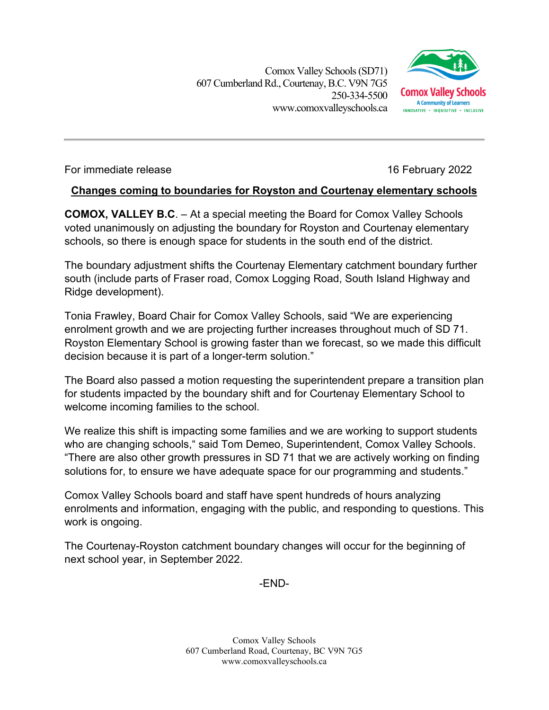Comox Valley Schools (SD71) 607 Cumberland Rd.,Courtenay, B.C. V9N 7G5 250-334-5500 www.comoxvalleyschools.ca



For immediate release 16 February 2022

## **Changes coming to boundaries for Royston and Courtenay elementary schools**

**COMOX, VALLEY B.C**. – At a special meeting the Board for Comox Valley Schools voted unanimously on adjusting the boundary for Royston and Courtenay elementary schools, so there is enough space for students in the south end of the district.

The boundary adjustment shifts the Courtenay Elementary catchment boundary further south (include parts of Fraser road, Comox Logging Road, South Island Highway and Ridge development).

Tonia Frawley, Board Chair for Comox Valley Schools, said "We are experiencing enrolment growth and we are projecting further increases throughout much of SD 71. Royston Elementary School is growing faster than we forecast, so we made this difficult decision because it is part of a longer-term solution."

The Board also passed a motion requesting the superintendent prepare a transition plan for students impacted by the boundary shift and for Courtenay Elementary School to welcome incoming families to the school.

We realize this shift is impacting some families and we are working to support students who are changing schools, "said Tom Demeo, Superintendent, Comox Valley Schools. "There are also other growth pressures in SD 71 that we are actively working on finding solutions for, to ensure we have adequate space for our programming and students."

Comox Valley Schools board and staff have spent hundreds of hours analyzing enrolments and information, engaging with the public, and responding to questions. This work is ongoing.

The Courtenay-Royston catchment boundary changes will occur for the beginning of next school year, in September 2022.

-END-

Comox Valley Schools 607 Cumberland Road, Courtenay, BC V9N 7G5 www.comoxvalleyschools.ca